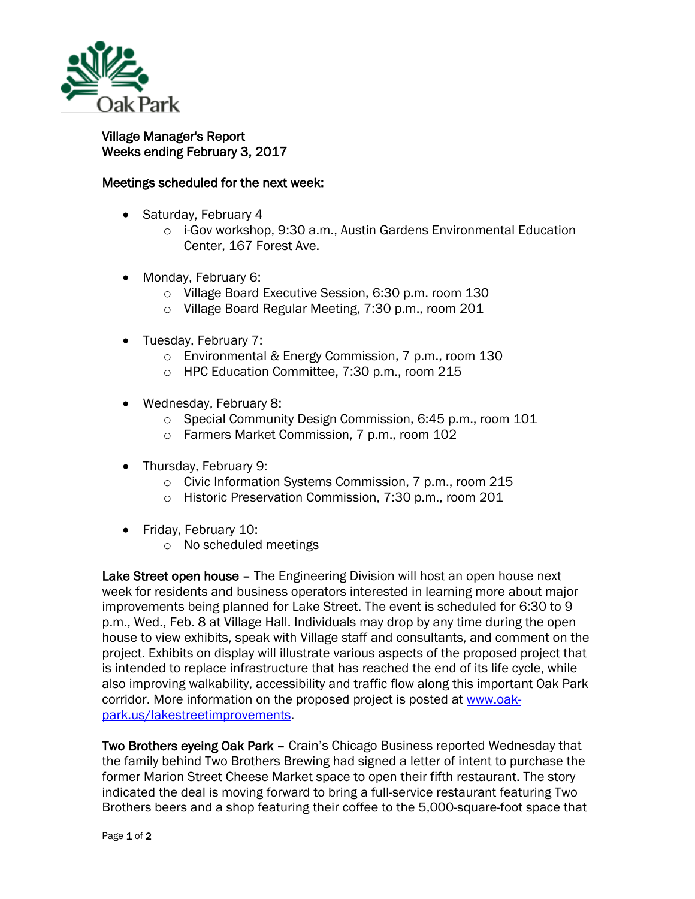

## Village Manager's Report Weeks ending February 3, 2017

## Meetings scheduled for the next week:

- Saturday, February 4
	- o i-Gov workshop, 9:30 a.m., Austin Gardens Environmental Education Center, 167 Forest Ave.
- Monday, February 6:
	- o Village Board Executive Session, 6:30 p.m. room 130
	- o Village Board Regular Meeting, 7:30 p.m., room 201
- Tuesday, February 7:
	- o Environmental & Energy Commission, 7 p.m., room 130
	- o HPC Education Committee, 7:30 p.m., room 215
- Wednesday, February 8:
	- o Special Community Design Commission, 6:45 p.m., room 101
	- o Farmers Market Commission, 7 p.m., room 102
- Thursday, February 9:
	- o Civic Information Systems Commission, 7 p.m., room 215
	- o Historic Preservation Commission, 7:30 p.m., room 201
- Friday, February 10:
	- o No scheduled meetings

Lake Street open house – The Engineering Division will host an open house next week for residents and business operators interested in learning more about major improvements being planned for Lake Street. The event is scheduled for 6:30 to 9 p.m., Wed., Feb. 8 at Village Hall. Individuals may drop by any time during the open house to view exhibits, speak with Village staff and consultants, and comment on the project. Exhibits on display will illustrate various aspects of the proposed project that is intended to replace infrastructure that has reached the end of its life cycle, while also improving walkability, accessibility and traffic flow along this important Oak Park corridor. More information on the proposed project is posted at [www.oak](http://www.oak-park.us/lakestreetimprovements)[park.us/lakestreetimprovements.](http://www.oak-park.us/lakestreetimprovements)

Two Brothers eyeing Oak Park – Crain's Chicago Business reported Wednesday that the family behind Two Brothers Brewing had signed a letter of intent to purchase the former Marion Street Cheese Market space to open their fifth restaurant. The story indicated the deal is moving forward to bring a full-service restaurant featuring Two Brothers beers and a shop featuring their coffee to the 5,000-square-foot space that